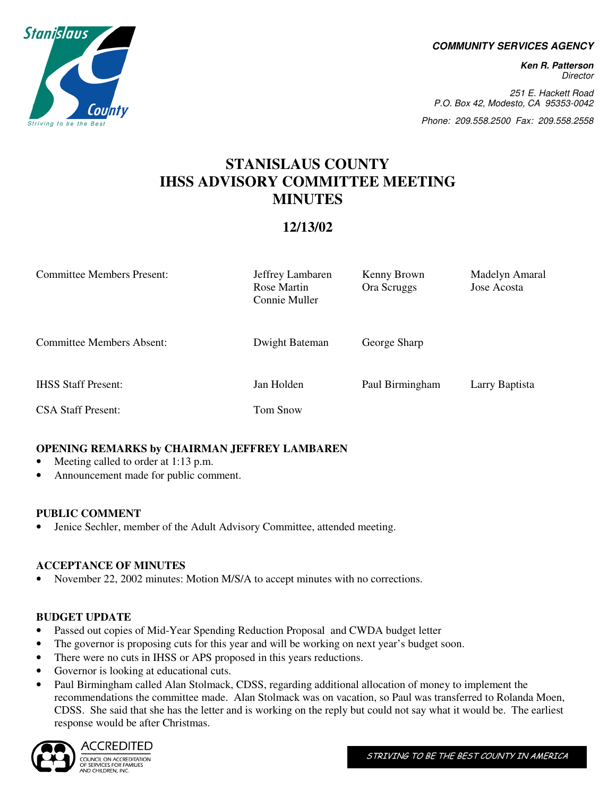**COMMUNITY SERVICES AGENCY** 

**Ken R. Patterson**  Director

251 E. Hackett Road P.O. Box 42, Modesto, CA 95353-0042

Phone: 209.558.2500 Fax: 209.558.2558

# **STANISLAUS COUNTY IHSS ADVISORY COMMITTEE MEETING MINUTES**

# **12/13/02**

| <b>Committee Members Present:</b> | Jeffrey Lambaren<br>Rose Martin<br>Connie Muller | Kenny Brown<br>Ora Scruggs | Madelyn Amaral<br>Jose Acosta |
|-----------------------------------|--------------------------------------------------|----------------------------|-------------------------------|
| Committee Members Absent:         | Dwight Bateman                                   | George Sharp               |                               |
| <b>IHSS Staff Present:</b>        | Jan Holden                                       | Paul Birmingham            | Larry Baptista                |
| <b>CSA Staff Present:</b>         | Tom Snow                                         |                            |                               |

# **OPENING REMARKS by CHAIRMAN JEFFREY LAMBAREN**

- Meeting called to order at 1:13 p.m.
- Announcement made for public comment.

# **PUBLIC COMMENT**

• Jenice Sechler, member of the Adult Advisory Committee, attended meeting.

# **ACCEPTANCE OF MINUTES**

• November 22, 2002 minutes: Motion M/S/A to accept minutes with no corrections.

# **BUDGET UPDATE**

- Passed out copies of Mid-Year Spending Reduction Proposal and CWDA budget letter
- The governor is proposing cuts for this year and will be working on next year's budget soon.
- There were no cuts in IHSS or APS proposed in this years reductions.
- Governor is looking at educational cuts.
- Paul Birmingham called Alan Stolmack, CDSS, regarding additional allocation of money to implement the recommendations the committee made. Alan Stolmack was on vacation, so Paul was transferred to Rolanda Moen, CDSS. She said that she has the letter and is working on the reply but could not say what it would be. The earliest response would be after Christmas.



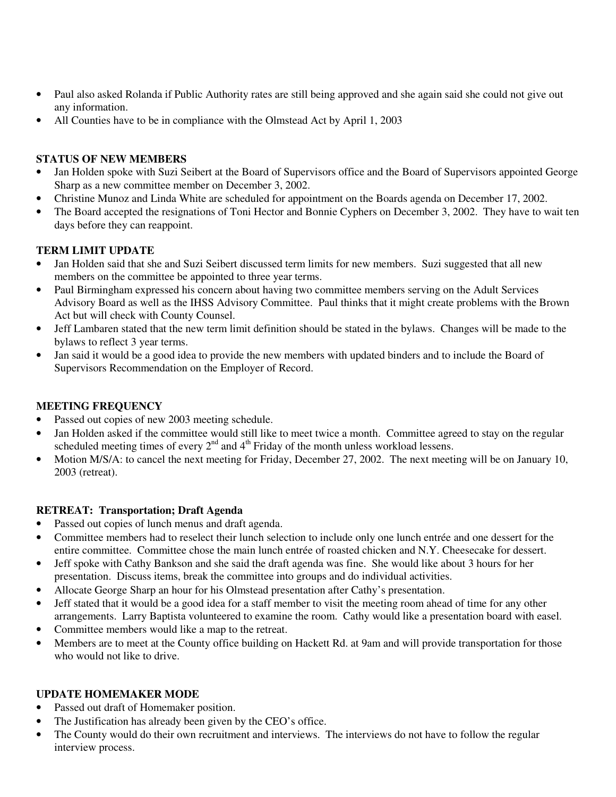- Paul also asked Rolanda if Public Authority rates are still being approved and she again said she could not give out any information.
- All Counties have to be in compliance with the Olmstead Act by April 1, 2003

### **STATUS OF NEW MEMBERS**

- Jan Holden spoke with Suzi Seibert at the Board of Supervisors office and the Board of Supervisors appointed George Sharp as a new committee member on December 3, 2002.
- Christine Munoz and Linda White are scheduled for appointment on the Boards agenda on December 17, 2002.
- The Board accepted the resignations of Toni Hector and Bonnie Cyphers on December 3, 2002. They have to wait ten days before they can reappoint.

#### **TERM LIMIT UPDATE**

- Jan Holden said that she and Suzi Seibert discussed term limits for new members. Suzi suggested that all new members on the committee be appointed to three year terms.
- Paul Birmingham expressed his concern about having two committee members serving on the Adult Services Advisory Board as well as the IHSS Advisory Committee. Paul thinks that it might create problems with the Brown Act but will check with County Counsel.
- Jeff Lambaren stated that the new term limit definition should be stated in the bylaws. Changes will be made to the bylaws to reflect 3 year terms.
- Jan said it would be a good idea to provide the new members with updated binders and to include the Board of Supervisors Recommendation on the Employer of Record.

# **MEETING FREQUENCY**

- Passed out copies of new 2003 meeting schedule.
- Jan Holden asked if the committee would still like to meet twice a month. Committee agreed to stay on the regular scheduled meeting times of every  $2<sup>nd</sup>$  and  $4<sup>th</sup>$  Friday of the month unless workload lessens.
- Motion M/S/A: to cancel the next meeting for Friday, December 27, 2002. The next meeting will be on January 10, 2003 (retreat).

#### **RETREAT: Transportation; Draft Agenda**

- Passed out copies of lunch menus and draft agenda.
- Committee members had to reselect their lunch selection to include only one lunch entrée and one dessert for the entire committee. Committee chose the main lunch entrée of roasted chicken and N.Y. Cheesecake for dessert.
- Jeff spoke with Cathy Bankson and she said the draft agenda was fine. She would like about 3 hours for her presentation. Discuss items, break the committee into groups and do individual activities.
- Allocate George Sharp an hour for his Olmstead presentation after Cathy's presentation.
- Jeff stated that it would be a good idea for a staff member to visit the meeting room ahead of time for any other arrangements. Larry Baptista volunteered to examine the room. Cathy would like a presentation board with easel.
- Committee members would like a map to the retreat.
- Members are to meet at the County office building on Hackett Rd. at 9am and will provide transportation for those who would not like to drive.

# **UPDATE HOMEMAKER MODE**

- Passed out draft of Homemaker position.
- The Justification has already been given by the CEO's office.
- The County would do their own recruitment and interviews. The interviews do not have to follow the regular interview process.